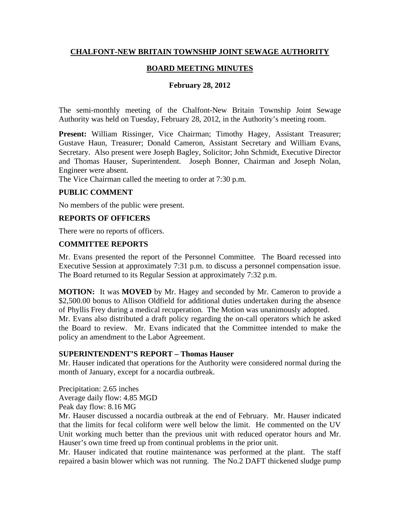# **CHALFONT-NEW BRITAIN TOWNSHIP JOINT SEWAGE AUTHORITY**

### **BOARD MEETING MINUTES**

### **February 28, 2012**

The semi-monthly meeting of the Chalfont-New Britain Township Joint Sewage Authority was held on Tuesday, February 28, 2012, in the Authority's meeting room.

Present: William Rissinger, Vice Chairman; Timothy Hagey, Assistant Treasurer; Gustave Haun, Treasurer; Donald Cameron, Assistant Secretary and William Evans, Secretary. Also present were Joseph Bagley, Solicitor; John Schmidt, Executive Director and Thomas Hauser, Superintendent. Joseph Bonner, Chairman and Joseph Nolan, Engineer were absent.

The Vice Chairman called the meeting to order at 7:30 p.m.

### **PUBLIC COMMENT**

No members of the public were present.

### **REPORTS OF OFFICERS**

There were no reports of officers.

#### **COMMITTEE REPORTS**

Mr. Evans presented the report of the Personnel Committee. The Board recessed into Executive Session at approximately 7:31 p.m. to discuss a personnel compensation issue. The Board returned to its Regular Session at approximately 7:32 p.m.

**MOTION:** It was **MOVED** by Mr. Hagey and seconded by Mr. Cameron to provide a \$2,500.00 bonus to Allison Oldfield for additional duties undertaken during the absence of Phyllis Frey during a medical recuperation. The Motion was unanimously adopted. Mr. Evans also distributed a draft policy regarding the on-call operators which he asked the Board to review. Mr. Evans indicated that the Committee intended to make the policy an amendment to the Labor Agreement.

#### **SUPERINTENDENT'S REPORT – Thomas Hauser**

Mr. Hauser indicated that operations for the Authority were considered normal during the month of January, except for a nocardia outbreak.

Precipitation: 2.65 inches Average daily flow: 4.85 MGD Peak day flow: 8.16 MG

Mr. Hauser discussed a nocardia outbreak at the end of February. Mr. Hauser indicated that the limits for fecal coliform were well below the limit. He commented on the UV Unit working much better than the previous unit with reduced operator hours and Mr. Hauser's own time freed up from continual problems in the prior unit.

Mr. Hauser indicated that routine maintenance was performed at the plant. The staff repaired a basin blower which was not running. The No.2 DAFT thickened sludge pump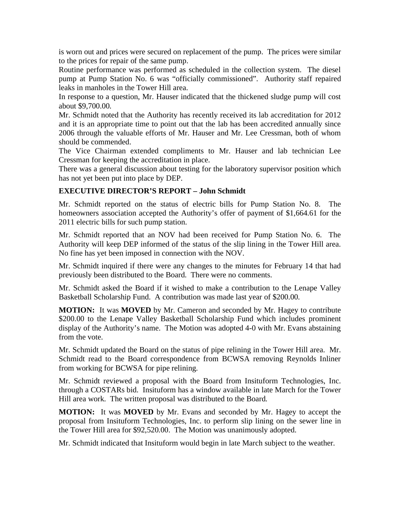is worn out and prices were secured on replacement of the pump. The prices were similar to the prices for repair of the same pump.

Routine performance was performed as scheduled in the collection system. The diesel pump at Pump Station No. 6 was "officially commissioned". Authority staff repaired leaks in manholes in the Tower Hill area.

In response to a question, Mr. Hauser indicated that the thickened sludge pump will cost about \$9,700.00.

Mr. Schmidt noted that the Authority has recently received its lab accreditation for 2012 and it is an appropriate time to point out that the lab has been accredited annually since 2006 through the valuable efforts of Mr. Hauser and Mr. Lee Cressman, both of whom should be commended.

The Vice Chairman extended compliments to Mr. Hauser and lab technician Lee Cressman for keeping the accreditation in place.

There was a general discussion about testing for the laboratory supervisor position which has not yet been put into place by DEP.

# **EXECUTIVE DIRECTOR'S REPORT – John Schmidt**

Mr. Schmidt reported on the status of electric bills for Pump Station No. 8. The homeowners association accepted the Authority's offer of payment of \$1,664.61 for the 2011 electric bills for such pump station.

Mr. Schmidt reported that an NOV had been received for Pump Station No. 6. The Authority will keep DEP informed of the status of the slip lining in the Tower Hill area. No fine has yet been imposed in connection with the NOV.

Mr. Schmidt inquired if there were any changes to the minutes for February 14 that had previously been distributed to the Board. There were no comments.

Mr. Schmidt asked the Board if it wished to make a contribution to the Lenape Valley Basketball Scholarship Fund. A contribution was made last year of \$200.00.

**MOTION:** It was **MOVED** by Mr. Cameron and seconded by Mr. Hagey to contribute \$200.00 to the Lenape Valley Basketball Scholarship Fund which includes prominent display of the Authority's name. The Motion was adopted 4-0 with Mr. Evans abstaining from the vote.

Mr. Schmidt updated the Board on the status of pipe relining in the Tower Hill area. Mr. Schmidt read to the Board correspondence from BCWSA removing Reynolds Inliner from working for BCWSA for pipe relining.

Mr. Schmidt reviewed a proposal with the Board from Insituform Technologies, Inc. through a COSTARs bid. Insituform has a window available in late March for the Tower Hill area work. The written proposal was distributed to the Board.

**MOTION:** It was **MOVED** by Mr. Evans and seconded by Mr. Hagey to accept the proposal from Insituform Technologies, Inc. to perform slip lining on the sewer line in the Tower Hill area for \$92,520.00. The Motion was unanimously adopted.

Mr. Schmidt indicated that Insituform would begin in late March subject to the weather.